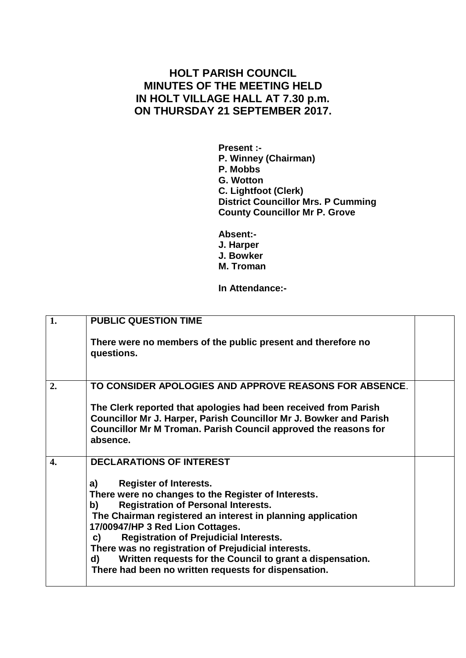## **HOLT PARISH COUNCIL MINUTES OF THE MEETING HELD IN HOLT VILLAGE HALL AT 7.30 p.m. ON THURSDAY 21 SEPTEMBER 2017.**

**Present :- P. Winney (Chairman) P. Mobbs G. Wotton C. Lightfoot (Clerk) District Councillor Mrs. P Cumming County Councillor Mr P. Grove**

**Absent:- J. Harper J. Bowker M. Troman**

## **In Attendance:-**

| 1. | <b>PUBLIC QUESTION TIME</b>                                                                                                                                                                                                                                                                                                                                                                                                                                                                |  |
|----|--------------------------------------------------------------------------------------------------------------------------------------------------------------------------------------------------------------------------------------------------------------------------------------------------------------------------------------------------------------------------------------------------------------------------------------------------------------------------------------------|--|
|    | There were no members of the public present and therefore no<br>questions.                                                                                                                                                                                                                                                                                                                                                                                                                 |  |
| 2. | TO CONSIDER APOLOGIES AND APPROVE REASONS FOR ABSENCE.                                                                                                                                                                                                                                                                                                                                                                                                                                     |  |
|    | The Clerk reported that apologies had been received from Parish<br>Councillor Mr J. Harper, Parish Councillor Mr J. Bowker and Parish<br>Councillor Mr M Troman. Parish Council approved the reasons for<br>absence.                                                                                                                                                                                                                                                                       |  |
| 4. | <b>DECLARATIONS OF INTEREST</b>                                                                                                                                                                                                                                                                                                                                                                                                                                                            |  |
|    | <b>Register of Interests.</b><br>a)<br>There were no changes to the Register of Interests.<br><b>Registration of Personal Interests.</b><br>b)<br>The Chairman registered an interest in planning application<br>17/00947/HP 3 Red Lion Cottages.<br><b>Registration of Prejudicial Interests.</b><br>C)<br>There was no registration of Prejudicial interests.<br>Written requests for the Council to grant a dispensation.<br>d)<br>There had been no written requests for dispensation. |  |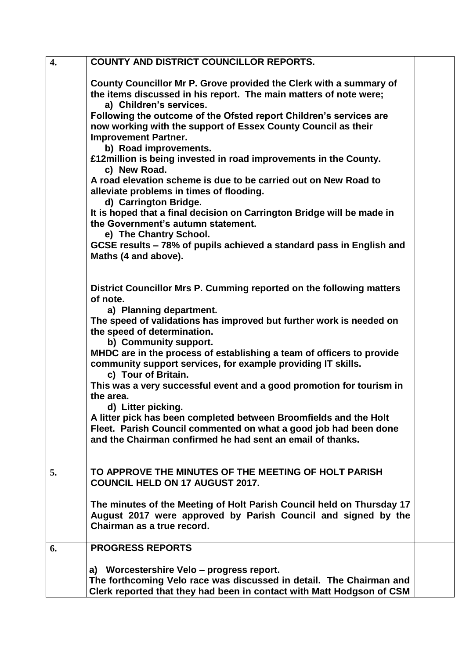| 4. | <b>COUNTY AND DISTRICT COUNCILLOR REPORTS.</b>                                                                                                                                                      |  |
|----|-----------------------------------------------------------------------------------------------------------------------------------------------------------------------------------------------------|--|
|    | County Councillor Mr P. Grove provided the Clerk with a summary of<br>the items discussed in his report. The main matters of note were;<br>a) Children's services.                                  |  |
|    | Following the outcome of the Ofsted report Children's services are<br>now working with the support of Essex County Council as their<br><b>Improvement Partner.</b><br>b) Road improvements.         |  |
|    | £12million is being invested in road improvements in the County.<br>c) New Road.                                                                                                                    |  |
|    | A road elevation scheme is due to be carried out on New Road to<br>alleviate problems in times of flooding.<br>d) Carrington Bridge.                                                                |  |
|    | It is hoped that a final decision on Carrington Bridge will be made in<br>the Government's autumn statement.<br>e) The Chantry School.                                                              |  |
|    | GCSE results - 78% of pupils achieved a standard pass in English and<br>Maths (4 and above).                                                                                                        |  |
|    | District Councillor Mrs P. Cumming reported on the following matters<br>of note.                                                                                                                    |  |
|    | a) Planning department.<br>The speed of validations has improved but further work is needed on<br>the speed of determination.                                                                       |  |
|    | b) Community support.<br>MHDC are in the process of establishing a team of officers to provide<br>community support services, for example providing IT skills.<br>c) Tour of Britain.               |  |
|    | This was a very successful event and a good promotion for tourism in<br>the area.<br>d) Litter picking.                                                                                             |  |
|    | A litter pick has been completed between Broomfields and the Holt<br>Fleet. Parish Council commented on what a good job had been done<br>and the Chairman confirmed he had sent an email of thanks. |  |
| 5. | TO APPROVE THE MINUTES OF THE MEETING OF HOLT PARISH<br><b>COUNCIL HELD ON 17 AUGUST 2017.</b>                                                                                                      |  |
|    | The minutes of the Meeting of Holt Parish Council held on Thursday 17<br>August 2017 were approved by Parish Council and signed by the<br>Chairman as a true record.                                |  |
| 6. | <b>PROGRESS REPORTS</b>                                                                                                                                                                             |  |
|    | a) Worcestershire Velo – progress report.<br>The forthcoming Velo race was discussed in detail. The Chairman and<br>Clerk reported that they had been in contact with Matt Hodgson of CSM           |  |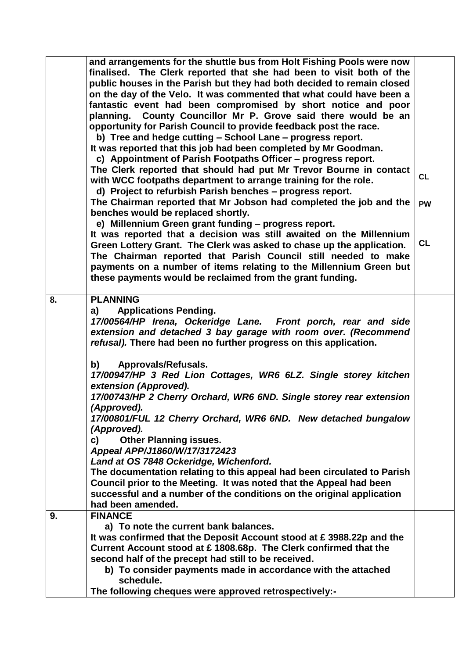|    | and arrangements for the shuttle bus from Holt Fishing Pools were now                                                                          |           |
|----|------------------------------------------------------------------------------------------------------------------------------------------------|-----------|
|    | finalised. The Clerk reported that she had been to visit both of the                                                                           |           |
|    | public houses in the Parish but they had both decided to remain closed                                                                         |           |
|    | on the day of the Velo. It was commented that what could have been a                                                                           |           |
|    | fantastic event had been compromised by short notice and poor                                                                                  |           |
|    | planning. County Councillor Mr P. Grove said there would be an                                                                                 |           |
|    | opportunity for Parish Council to provide feedback post the race.                                                                              |           |
|    | b) Tree and hedge cutting - School Lane - progress report.                                                                                     |           |
|    | It was reported that this job had been completed by Mr Goodman.                                                                                |           |
|    | c) Appointment of Parish Footpaths Officer - progress report.                                                                                  |           |
|    | The Clerk reported that should had put Mr Trevor Bourne in contact                                                                             | <b>CL</b> |
|    | with WCC footpaths department to arrange training for the role.                                                                                |           |
|    | d) Project to refurbish Parish benches - progress report.                                                                                      |           |
|    | The Chairman reported that Mr Jobson had completed the job and the                                                                             | <b>PW</b> |
|    | benches would be replaced shortly.                                                                                                             |           |
|    | e) Millennium Green grant funding - progress report.                                                                                           |           |
|    | It was reported that a decision was still awaited on the Millennium<br>Green Lottery Grant. The Clerk was asked to chase up the application.   | <b>CL</b> |
|    | The Chairman reported that Parish Council still needed to make                                                                                 |           |
|    | payments on a number of items relating to the Millennium Green but                                                                             |           |
|    | these payments would be reclaimed from the grant funding.                                                                                      |           |
|    |                                                                                                                                                |           |
| 8. | <b>PLANNING</b>                                                                                                                                |           |
|    | <b>Applications Pending.</b><br>a)                                                                                                             |           |
|    | 17/00564/HP Irena, Ockeridge Lane. Front porch, rear and side                                                                                  |           |
|    | extension and detached 3 bay garage with room over. (Recommend                                                                                 |           |
|    | refusal). There had been no further progress on this application.                                                                              |           |
|    |                                                                                                                                                |           |
|    | Approvals/Refusals.<br>b)                                                                                                                      |           |
|    | 17/00947/HP 3 Red Lion Cottages, WR6 6LZ. Single storey kitchen                                                                                |           |
|    | extension (Approved).                                                                                                                          |           |
|    | 17/00743/HP 2 Cherry Orchard, WR6 6ND. Single storey rear extension                                                                            |           |
|    | (Approved).                                                                                                                                    |           |
|    | 17/00801/FUL 12 Cherry Orchard, WR6 6ND. New detached bungalow                                                                                 |           |
|    | (Approved).                                                                                                                                    |           |
|    | <b>Other Planning issues.</b><br>C)                                                                                                            |           |
|    | Appeal APP/J1860/W/17/3172423                                                                                                                  |           |
|    | Land at OS 7848 Ockeridge, Wichenford.                                                                                                         |           |
|    | The documentation relating to this appeal had been circulated to Parish<br>Council prior to the Meeting. It was noted that the Appeal had been |           |
|    | successful and a number of the conditions on the original application                                                                          |           |
|    | had been amended.                                                                                                                              |           |
| 9. | <b>FINANCE</b>                                                                                                                                 |           |
|    | a) To note the current bank balances.                                                                                                          |           |
|    | It was confirmed that the Deposit Account stood at £3988.22p and the                                                                           |           |
|    | Current Account stood at £1808.68p. The Clerk confirmed that the                                                                               |           |
|    | second half of the precept had still to be received.                                                                                           |           |
|    | b) To consider payments made in accordance with the attached                                                                                   |           |
|    | schedule.                                                                                                                                      |           |
|    | The following cheques were approved retrospectively:-                                                                                          |           |